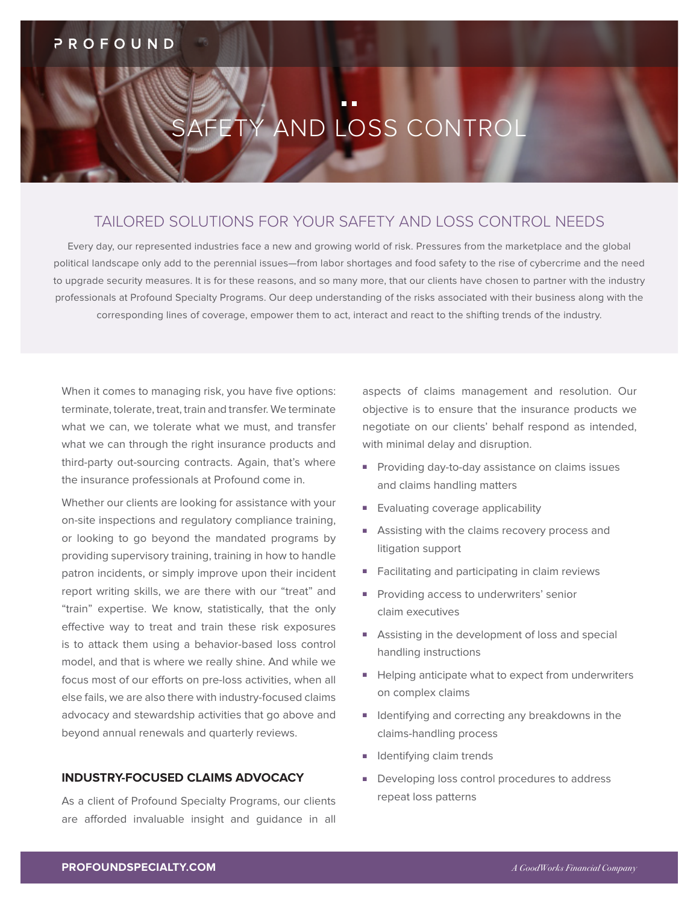# SAFETY AND LOSS CONTROL

# TAILORED SOLUTIONS FOR YOUR SAFETY AND LOSS CONTROL NEEDS

Every day, our represented industries face a new and growing world of risk. Pressures from the marketplace and the global political landscape only add to the perennial issues—from labor shortages and food safety to the rise of cybercrime and the need to upgrade security measures. It is for these reasons, and so many more, that our clients have chosen to partner with the industry professionals at Profound Specialty Programs. Our deep understanding of the risks associated with their business along with the corresponding lines of coverage, empower them to act, interact and react to the shifting trends of the industry.

When it comes to managing risk, you have five options: terminate, tolerate, treat, train and transfer. We terminate what we can, we tolerate what we must, and transfer what we can through the right insurance products and third-party out-sourcing contracts. Again, that's where the insurance professionals at Profound come in.

Whether our clients are looking for assistance with your on-site inspections and regulatory compliance training, or looking to go beyond the mandated programs by providing supervisory training, training in how to handle patron incidents, or simply improve upon their incident report writing skills, we are there with our "treat" and "train" expertise. We know, statistically, that the only effective way to treat and train these risk exposures is to attack them using a behavior-based loss control model, and that is where we really shine. And while we focus most of our efforts on pre-loss activities, when all else fails, we are also there with industry-focused claims advocacy and stewardship activities that go above and beyond annual renewals and quarterly reviews.

### **INDUSTRY-FOCUSED CLAIMS ADVOCACY**

As a client of Profound Specialty Programs, our clients are afforded invaluable insight and guidance in all aspects of claims management and resolution. Our objective is to ensure that the insurance products we negotiate on our clients' behalf respond as intended, with minimal delay and disruption.

- Providing day-to-day assistance on claims issues and claims handling matters
- Evaluating coverage applicability
- Assisting with the claims recovery process and litigation support
- Facilitating and participating in claim reviews
- Providing access to underwriters' senior claim executives
- Assisting in the development of loss and special handling instructions
- Helping anticipate what to expect from underwriters on complex claims
- Identifying and correcting any breakdowns in the claims-handling process
- Identifying claim trends
- Developing loss control procedures to address repeat loss patterns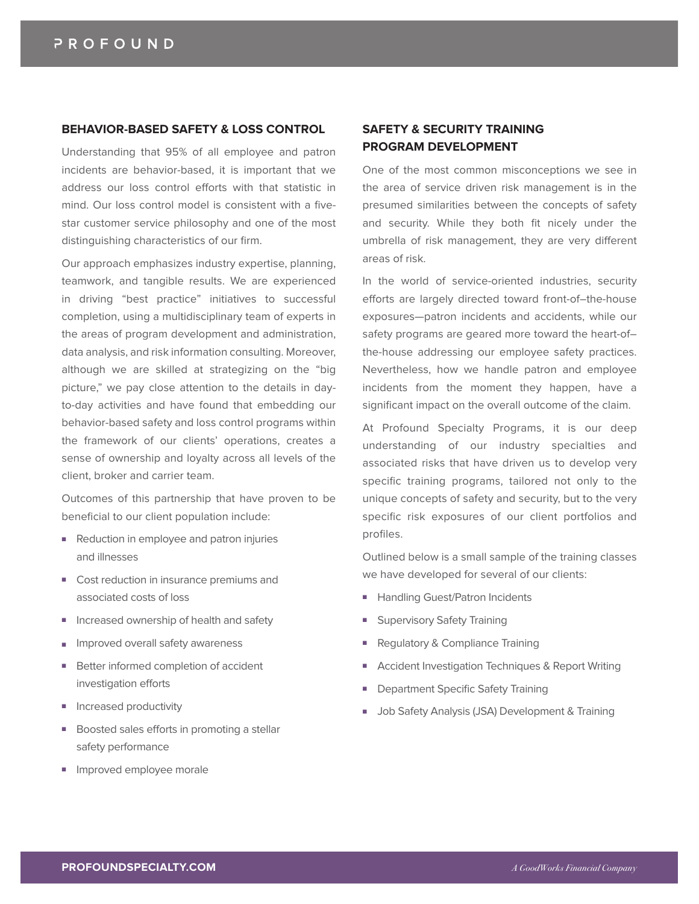#### **BEHAVIOR-BASED SAFETY & LOSS CONTROL**

Understanding that 95% of all employee and patron incidents are behavior-based, it is important that we address our loss control efforts with that statistic in mind. Our loss control model is consistent with a fivestar customer service philosophy and one of the most distinguishing characteristics of our firm.

Our approach emphasizes industry expertise, planning, teamwork, and tangible results. We are experienced in driving "best practice" initiatives to successful completion, using a multidisciplinary team of experts in the areas of program development and administration, data analysis, and risk information consulting. Moreover, although we are skilled at strategizing on the "big picture," we pay close attention to the details in dayto-day activities and have found that embedding our behavior-based safety and loss control programs within the framework of our clients' operations, creates a sense of ownership and loyalty across all levels of the client, broker and carrier team.

Outcomes of this partnership that have proven to be beneficial to our client population include:

- Reduction in employee and patron injuries and illnesses
- Cost reduction in insurance premiums and associated costs of loss
- Increased ownership of health and safety
- Improved overall safety awareness
- Better informed completion of accident investigation efforts
- Increased productivity
- Boosted sales efforts in promoting a stellar safety performance
- Improved employee morale

## **SAFETY & SECURITY TRAINING PROGRAM DEVELOPMENT**

One of the most common misconceptions we see in the area of service driven risk management is in the presumed similarities between the concepts of safety and security. While they both fit nicely under the umbrella of risk management, they are very different areas of risk.

In the world of service-oriented industries, security efforts are largely directed toward front-of–the-house exposures—patron incidents and accidents, while our safety programs are geared more toward the heart-of– the-house addressing our employee safety practices. Nevertheless, how we handle patron and employee incidents from the moment they happen, have a significant impact on the overall outcome of the claim.

At Profound Specialty Programs, it is our deep understanding of our industry specialties and associated risks that have driven us to develop very specific training programs, tailored not only to the unique concepts of safety and security, but to the very specific risk exposures of our client portfolios and profiles.

Outlined below is a small sample of the training classes we have developed for several of our clients:

- Handling Guest/Patron Incidents
- Supervisory Safety Training
- Regulatory & Compliance Training
- Accident Investigation Techniques & Report Writing
- Department Specific Safety Training
- Job Safety Analysis (JSA) Development & Training